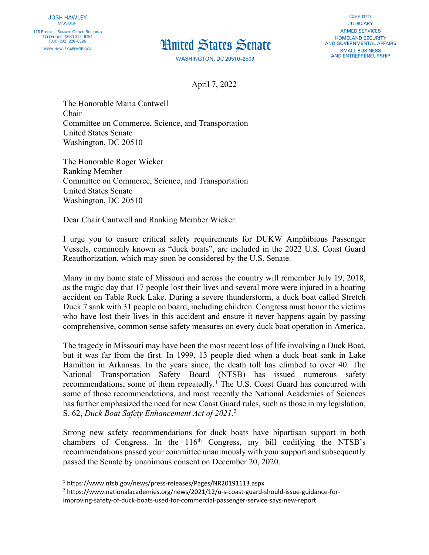## **Hnited States Senate**

**WASHINGTON, DC 20510-2509** 

**COMMITTEES JUDICIARY ARMED SERVICES HOMELAND SECURITY** AND GOVERNMENTAL AFFAIRS **SMALL BUSINESS AND ENTREPRENEURSHIP** 

April 7, 2022

The Honorable Maria Cantwell Chair Committee on Commerce, Science, and Transportation United States Senate Washington, DC 20510

The Honorable Roger Wicker Ranking Member Committee on Commerce, Science, and Transportation United States Senate Washington, DC 20510

Dear Chair Cantwell and Ranking Member Wicker:

I urge you to ensure critical safety requirements for DUKW Amphibious Passenger Vessels, commonly known as "duck boats", are included in the 2022 U.S. Coast Guard Reauthorization, which may soon be considered by the U.S. Senate.

Many in my home state of Missouri and across the country will remember July 19, 2018, as the tragic day that 17 people lost their lives and several more were injured in a boating accident on Table Rock Lake. During a severe thunderstorm, a duck boat called Stretch Duck 7 sank with 31 people on board, including children. Congress must honor the victims who have lost their lives in this accident and ensure it never happens again by passing comprehensive, common sense safety measures on every duck boat operation in America.

The tragedy in Missouri may have been the most recent loss of life involving a Duck Boat, but it was far from the first. In 1999, 13 people died when a duck boat sank in Lake Hamilton in Arkansas. In the years since, the death toll has climbed to over 40. The National Transportation Safety Board (NTSB) has issued numerous safety recommendations, some of them repeatedly.<sup>1</sup> The U.S. Coast Guard has concurred with some of those recommendations, and most recently the National Academies of Sciences has further emphasized the need for new Coast Guard rules, such as those in my legislation, S. 62, *Duck Boat Safety Enhancement Act of 2021*. 2

Strong new safety recommendations for duck boats have bipartisan support in both chambers of Congress. In the  $116<sup>th</sup>$  Congress, my bill codifying the NTSB's recommendations passed your committee unanimously with your support and subsequently passed the Senate by unanimous consent on December 20, 2020.

<sup>1</sup> https://www.ntsb.gov/news/press-releases/Pages/NR20191113.aspx

<sup>2</sup> https://www.nationalacademies.org/news/2021/12/u-s-coast-guard-should-issue-guidance-forimproving-safety-of-duck-boats-used-for-commercial-passenger-service-says-new-report